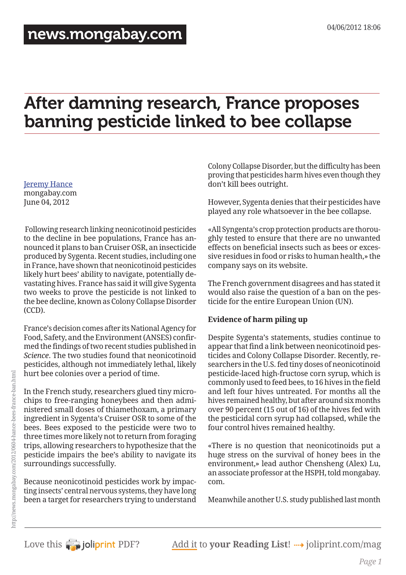# After damning research, France proposes banning pesticide linked to bee collapse

## [Jeremy Hance](http://www.mongabay.com/jeremy_hance.html)

mongabay.com June 04, 2012

 Following research linking neonicotinoid pesticides to the decline in bee populations, France has announced it plans to ban Cruiser OSR, an insecticide produced by Sygenta. Recent studies, including one in France, have shown that neonicotinoid pesticides likely hurt bees' ability to navigate, potentially devastating hives. France has said it will give Sygenta two weeks to prove the pesticide is not linked to the bee decline, known as Colony Collapse Disorder (CCD).

France's decision comes after its National Agency for Food, Safety, and the Environment (ANSES) confirmed the findings of two recent studies published in *Science*. The two studies found that neonicotinoid pesticides, although not immediately lethal, likely hurt bee colonies over a period of time.

In the French study, researchers glued tiny microchips to free-ranging honeybees and then administered small doses of thiamethoxam, a primary ingredient in Sygenta's Cruiser OSR to some of the bees. Bees exposed to the pesticide were two to three times more likely not to return from foraging trips, allowing researchers to hypothesize that the pesticide impairs the bee's ability to navigate its surroundings successfully.

Because neonicotinoid pesticides work by impacting insects' central nervous systems, they have long been a target for researchers trying to understand

Colony Collapse Disorder, but the difficulty has been proving that pesticides harm hives even though they don't kill bees outright.

However, Sygenta denies that their pesticides have played any role whatsoever in the bee collapse.

«All Syngenta's crop protection products are thoroughly tested to ensure that there are no unwanted effects on beneficial insects such as bees or excessive residues in food or risks to human health,» the company says on its website.

The French government disagrees and has stated it would also raise the question of a ban on the pesticide for the entire European Union (UN).

### **Evidence of harm piling up**

Despite Sygenta's statements, studies continue to appear that find a link between neonicotinoid pesticides and Colony Collapse Disorder. Recently, researchers in the U.S. fed tiny doses of neonicotinoid pesticide-laced high-fructose corn syrup, which is commonly used to feed bees, to 16 hives in the field and left four hives untreated. For months all the hives remained healthy, but after around six months over 90 percent (15 out of 16) of the hives fed with the pesticidal corn syrup had collapsed, while the four control hives remained healthy.

«There is no question that neonicotinoids put a huge stress on the survival of honey bees in the environment,» lead author Chensheng (Alex) Lu, an associate professor at the HSPH, told mongabay. com.

Meanwhile another U.S. study published last month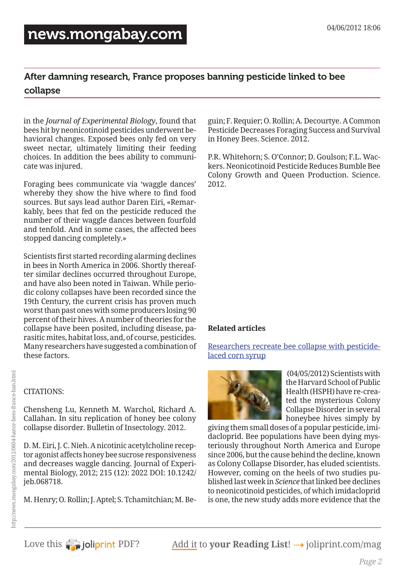## After damning research, France proposes banning pesticide linked to bee collapse

in the *Journal of Experimental Biology*, found that bees hit by neonicotinoid pesticides underwent behavioral changes. Exposed bees only fed on very sweet nectar, ultimately limiting their feeding choices. In addition the bees ability to communicate was injured.

Foraging bees communicate via 'waggle dances' whereby they show the hive where to find food sources. But says lead author Daren Eiri, «Remarkably, bees that fed on the pesticide reduced the number of their waggle dances between fourfold and tenfold. And in some cases, the affected bees stopped dancing completely.»

Scientists first started recording alarming declines in bees in North America in 2006. Shortly thereafter similar declines occurred throughout Europe, and have also been noted in Taiwan. While periodic colony collapses have been recorded since the 19th Century, the current crisis has proven much worst than past ones with some producers losing 90 percent of their hives. A number of theories for the collapse have been posited, including disease, parasitic mites, habitat loss, and, of course, pesticides. Many researchers have suggested a combination of these factors.

CITATIONS:

Chensheng Lu, Kenneth M. Warchol, Richard A. Callahan. In situ replication of honey bee colony collapse disorder. Bulletin of Insectology. 2012.

D. M. Eiri, J. C. Nieh. A nicotinic acetylcholine receptor agonist affects honey bee sucrose responsiveness and decreases waggle dancing. Journal of Experimental Biology, 2012; 215 (12): 2022 DOI: 10.1242/ jeb.068718.

M. Henry; O. Rollin; J. Aptel; S. Tchamitchian; M. Be-

guin; F. Requier; O. Rollin; A. Decourtye. A Common Pesticide Decreases Foraging Success and Survival in Honey Bees. Science. 2012.

P.R. Whitehorn; S. O'Connor; D. Goulson; F.L. Wackers. Neonicotinoid Pesticide Reduces Bumble Bee Colony Growth and Queen Production. Science. 2012.

### **Related articles**

[Researchers recreate bee collapse with pesticide](http://news.mongabay.com/2012/0405-hance_colonycollapse_pesticides.html)[laced corn syrup](http://news.mongabay.com/2012/0405-hance_colonycollapse_pesticides.html)



 (04/05/2012) Scientists with the Harvard School of Public Health (HSPH) have re-created the mysterious Colony Collapse Disorder in several honeybee hives simply by

giving them small doses of a popular pesticide, imidacloprid. Bee populations have been dying mysteriously throughout North America and Europe since 2006, but the cause behind the decline, known as Colony Collapse Disorder, has eluded scientists. However, coming on the heels of two studies published last week in *Science* that linked bee declines to neonicotinoid pesticides, of which imidacloprid is one, the new study adds more evidence that the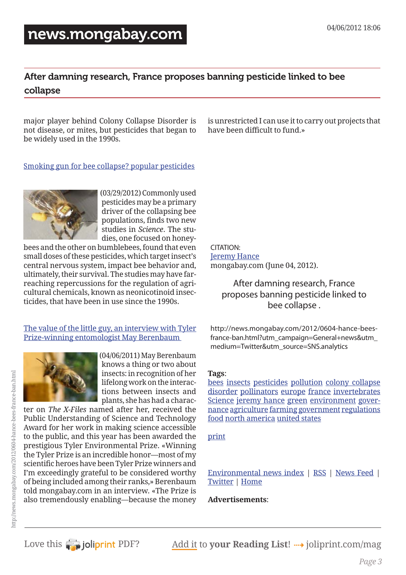## [news.mongabay.com](http://news.mongabay.com/)

### After damning research, France proposes banning pesticide linked to bee collapse

major player behind Colony Collapse Disorder is not disease, or mites, but pesticides that began to be widely used in the 1990s.

is unrestricted I can use it to carry out projects that have been difficult to fund.»

[Smoking gun for bee collapse? popular pesticides](http://news.mongabay.com/2012/0329-hance_beecollapse_pesticides.html)

 (03/29/2012) Commonly used pesticides may be a primary driver of the collapsing bee populations, finds two new studies in *Science*. The studies, one focused on honey-

bees and the other on bumblebees, found that even small doses of these pesticides, which target insect's central nervous system, impact bee behavior and, ultimately, their survival. The studies may have farreaching repercussions for the regulation of agricultural chemicals, known as neonicotinoid insecticides, that have been in use since the 1990s.

[The value of the little guy, an interview with Tyler](http://news.mongabay.com/2011/0406-hance_berenbaum.html)  [Prize-winning entomologist May Berenbaum](http://news.mongabay.com/2011/0406-hance_berenbaum.html) 



 (04/06/2011) May Berenbaum knows a thing or two about insects: in recognition of her lifelong work on the interactions between insects and plants, she has had a charac-

ter on *The X-Files* named after her, received the Public Understanding of Science and Technology Award for her work in making science accessible to the public, and this year has been awarded the prestigious Tyler Environmental Prize. «Winning the Tyler Prize is an incredible honor—most of my scientific heroes have been Tyler Prize winners and I'm exceedingly grateful to be considered worthy of being included among their ranks,» Berenbaum told mongabay.com in an interview. «The Prize is also tremendously enabling—because the money CITATION: [Jeremy Hance](http://www.mongabay.com/jeremy_hance.html) mongabay.com (June 04, 2012).

> After damning research, France proposes banning pesticide linked to bee collapse .

http://news.mongabay.com/2012/0604-hance-beesfrance-ban.html?utm\_campaign=General+news&utm\_ medium=Twitter&utm\_source=SNS.analytics

### **Tags**:

[bees](http://news.mongabay.com/news-index/bees1.html) [insects](http://news.mongabay.com/news-index/insects1.html) [pesticides](http://news.mongabay.com/news-index/pesticides1.html) [pollution](http://news.mongabay.com/news-index/pollution1.html) [colony collapse](http://news.mongabay.com/news-index/colony%20collapse%20disorder1.html)  [disorder](http://news.mongabay.com/news-index/colony%20collapse%20disorder1.html) [pollinators](http://news.mongabay.com/news-index/pollinators1.html) [europe](http://news.mongabay.com/news-index/europe1.html) [france](http://news.mongabay.com/news-index/france1.html) [invertebrates](http://news.mongabay.com/news-index/invertebrates1.html) [Science](http://news.mongabay.com/news-index/Science1.html) [jeremy hance](http://news.mongabay.com/news-index/jeremy%20hance1.html) [green](http://news.mongabay.com/news-index/green1.html) [environment](http://news.mongabay.com/news-index/environment1.html) [gover](http://news.mongabay.com/news-index/governance1.html)[nance](http://news.mongabay.com/news-index/governance1.html) [agriculture](http://news.mongabay.com/news-index/agriculture1.html) [farming](http://news.mongabay.com/news-index/farming1.html) [government](http://news.mongabay.com/news-index/government1.html) [regulations](http://news.mongabay.com/news-index/regulations1.html) [food](http://news.mongabay.com/news-index/food1.html) [north america](http://news.mongabay.com/news-index/north%20america1.html) [united states](http://news.mongabay.com/news-index/united%20states1.html)

[print](http://print.news.mongabay.com/2012/0604-hance-bees-france-ban.html?utm_campaign=General+news&utm_medium=Twitter&utm_source=SNS.analytics)

[Environmental news index](http://news.mongabay.com) | [RSS](http://www.mongabay.com/xml-list.html) | [News Feed](http://news.mongabay.com/news.xml) | [Twitter](http://www.twitter.com/mongabay/) | [Home](http://www.mongabay.com)

### **Advertisements**: